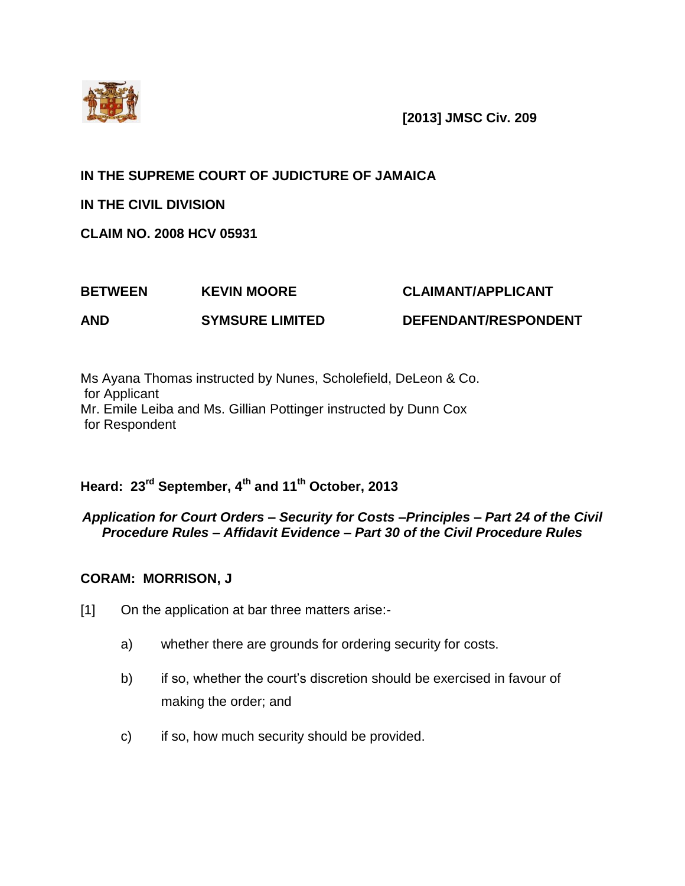

**[2013] JMSC Civ. 209**

# **IN THE SUPREME COURT OF JUDICTURE OF JAMAICA**

**IN THE CIVIL DIVISION**

**CLAIM NO. 2008 HCV 05931**

# **BETWEEN KEVIN MOORE CLAIMANT/APPLICANT**

**AND SYMSURE LIMITED DEFENDANT/RESPONDENT**

Ms Ayana Thomas instructed by Nunes, Scholefield, DeLeon & Co. for Applicant Mr. Emile Leiba and Ms. Gillian Pottinger instructed by Dunn Cox for Respondent

# **Heard: 23rd September, 4th and 11th October, 2013**

# *Application for Court Orders – Security for Costs –Principles – Part 24 of the Civil Procedure Rules – Affidavit Evidence – Part 30 of the Civil Procedure Rules*

# **CORAM: MORRISON, J**

- [1] On the application at bar three matters arise:
	- a) whether there are grounds for ordering security for costs.
	- b) if so, whether the court's discretion should be exercised in favour of making the order; and
	- c) if so, how much security should be provided.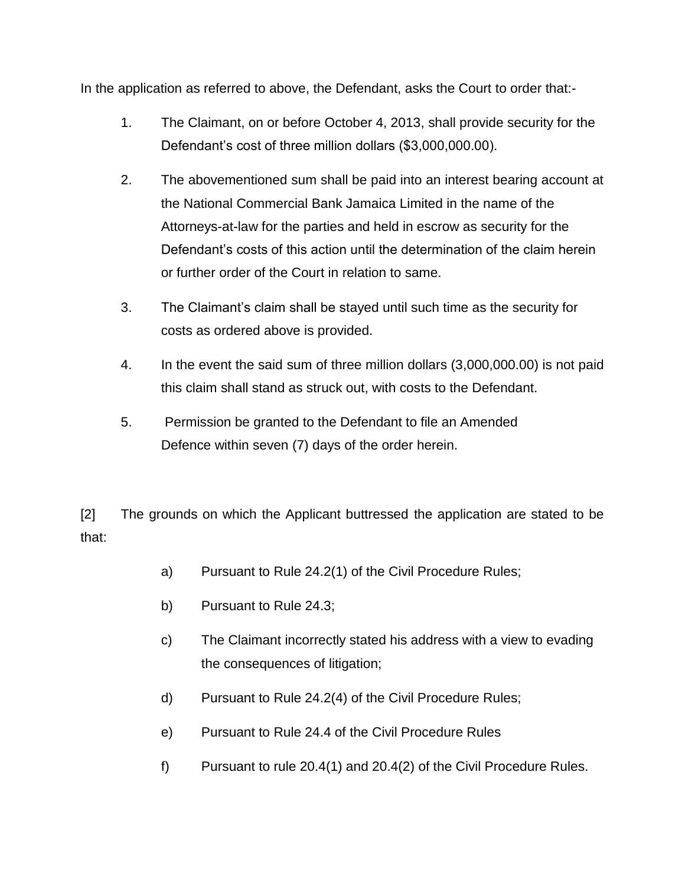In the application as referred to above, the Defendant, asks the Court to order that:-

- 1. The Claimant, on or before October 4, 2013, shall provide security for the Defendant's cost of three million dollars (\$3,000,000.00).
- 2. The abovementioned sum shall be paid into an interest bearing account at the National Commercial Bank Jamaica Limited in the name of the Attorneys-at-law for the parties and held in escrow as security for the Defendant's costs of this action until the determination of the claim herein or further order of the Court in relation to same.
- 3. The Claimant's claim shall be stayed until such time as the security for costs as ordered above is provided.
- 4. In the event the said sum of three million dollars (3,000,000.00) is not paid this claim shall stand as struck out, with costs to the Defendant.
- 5. Permission be granted to the Defendant to file an Amended Defence within seven (7) days of the order herein.

[2] The grounds on which the Applicant buttressed the application are stated to be that:

- a) Pursuant to Rule 24.2(1) of the Civil Procedure Rules;
- b) Pursuant to Rule 24.3;
- c) The Claimant incorrectly stated his address with a view to evading the consequences of litigation;
- d) Pursuant to Rule 24.2(4) of the Civil Procedure Rules;
- e) Pursuant to Rule 24.4 of the Civil Procedure Rules
- f) Pursuant to rule 20.4(1) and 20.4(2) of the Civil Procedure Rules.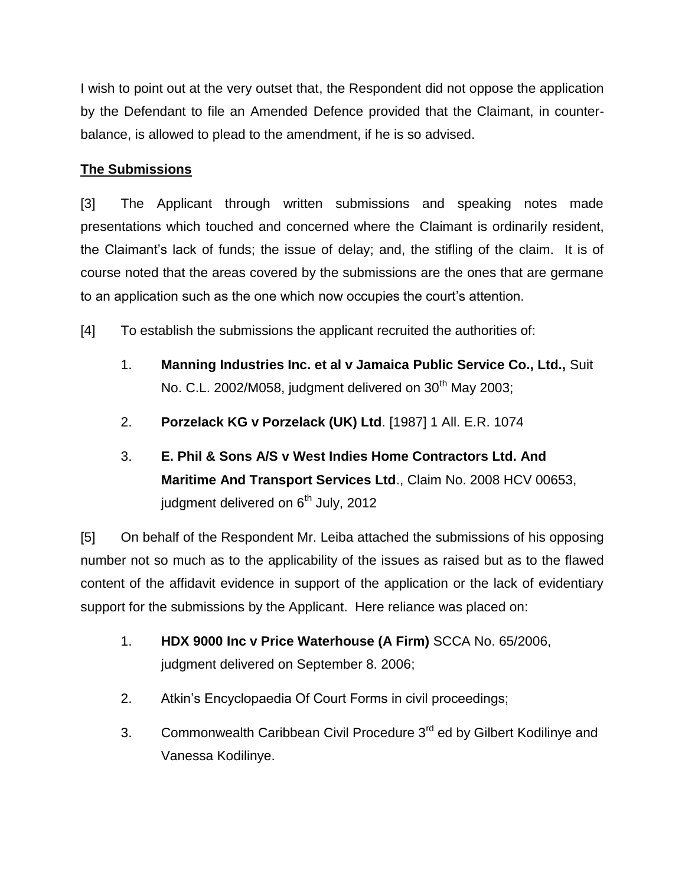I wish to point out at the very outset that, the Respondent did not oppose the application by the Defendant to file an Amended Defence provided that the Claimant, in counterbalance, is allowed to plead to the amendment, if he is so advised.

# **The Submissions**

[3] The Applicant through written submissions and speaking notes made presentations which touched and concerned where the Claimant is ordinarily resident, the Claimant's lack of funds; the issue of delay; and, the stifling of the claim. It is of course noted that the areas covered by the submissions are the ones that are germane to an application such as the one which now occupies the court's attention.

[4] To establish the submissions the applicant recruited the authorities of:

- 1. **Manning Industries Inc. et al v Jamaica Public Service Co., Ltd.,** Suit No. C.L. 2002/M058, judgment delivered on  $30<sup>th</sup>$  May 2003;
- 2. **Porzelack KG v Porzelack (UK) Ltd**. [1987] 1 All. E.R. 1074
- 3. **E. Phil & Sons A/S v West Indies Home Contractors Ltd. And Maritime And Transport Services Ltd**., Claim No. 2008 HCV 00653, judgment delivered on 6<sup>th</sup> July, 2012

[5] On behalf of the Respondent Mr. Leiba attached the submissions of his opposing number not so much as to the applicability of the issues as raised but as to the flawed content of the affidavit evidence in support of the application or the lack of evidentiary support for the submissions by the Applicant. Here reliance was placed on:

- 1. **HDX 9000 Inc v Price Waterhouse (A Firm)** SCCA No. 65/2006, judgment delivered on September 8. 2006;
- 2. Atkin's Encyclopaedia Of Court Forms in civil proceedings;
- 3. Commonwealth Caribbean Civil Procedure 3<sup>rd</sup> ed by Gilbert Kodilinye and Vanessa Kodilinye.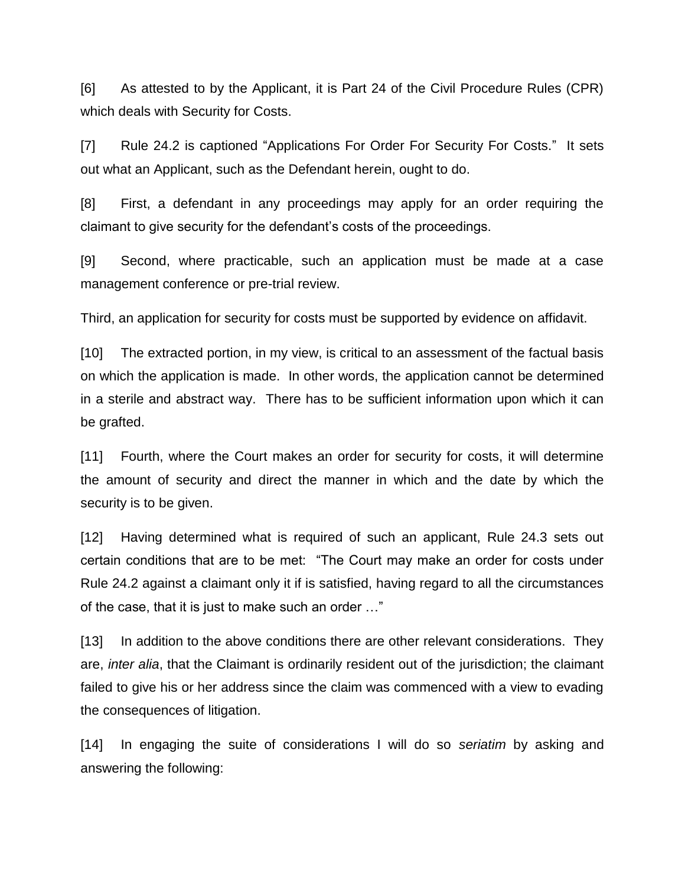[6] As attested to by the Applicant, it is Part 24 of the Civil Procedure Rules (CPR) which deals with Security for Costs.

[7] Rule 24.2 is captioned "Applications For Order For Security For Costs." It sets out what an Applicant, such as the Defendant herein, ought to do.

[8] First, a defendant in any proceedings may apply for an order requiring the claimant to give security for the defendant's costs of the proceedings.

[9] Second, where practicable, such an application must be made at a case management conference or pre-trial review.

Third, an application for security for costs must be supported by evidence on affidavit.

[10] The extracted portion, in my view, is critical to an assessment of the factual basis on which the application is made. In other words, the application cannot be determined in a sterile and abstract way. There has to be sufficient information upon which it can be grafted.

[11] Fourth, where the Court makes an order for security for costs, it will determine the amount of security and direct the manner in which and the date by which the security is to be given.

[12] Having determined what is required of such an applicant, Rule 24.3 sets out certain conditions that are to be met: "The Court may make an order for costs under Rule 24.2 against a claimant only it if is satisfied, having regard to all the circumstances of the case, that it is just to make such an order …"

[13] In addition to the above conditions there are other relevant considerations. They are, *inter alia*, that the Claimant is ordinarily resident out of the jurisdiction; the claimant failed to give his or her address since the claim was commenced with a view to evading the consequences of litigation.

[14] In engaging the suite of considerations I will do so *seriatim* by asking and answering the following: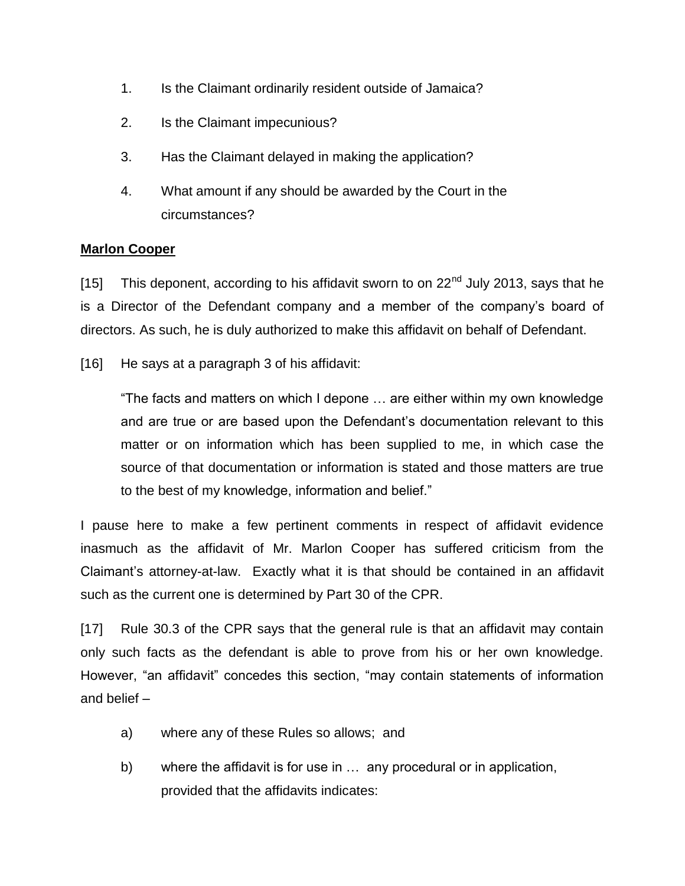- 1. Is the Claimant ordinarily resident outside of Jamaica?
- 2. Is the Claimant impecunious?
- 3. Has the Claimant delayed in making the application?
- 4. What amount if any should be awarded by the Court in the circumstances?

# **Marlon Cooper**

[15] This deponent, according to his affidavit sworn to on  $22<sup>nd</sup>$  July 2013, says that he is a Director of the Defendant company and a member of the company's board of directors. As such, he is duly authorized to make this affidavit on behalf of Defendant.

[16] He says at a paragraph 3 of his affidavit:

"The facts and matters on which I depone … are either within my own knowledge and are true or are based upon the Defendant's documentation relevant to this matter or on information which has been supplied to me, in which case the source of that documentation or information is stated and those matters are true to the best of my knowledge, information and belief."

I pause here to make a few pertinent comments in respect of affidavit evidence inasmuch as the affidavit of Mr. Marlon Cooper has suffered criticism from the Claimant's attorney-at-law. Exactly what it is that should be contained in an affidavit such as the current one is determined by Part 30 of the CPR.

[17] Rule 30.3 of the CPR says that the general rule is that an affidavit may contain only such facts as the defendant is able to prove from his or her own knowledge. However, "an affidavit" concedes this section, "may contain statements of information and belief –

- a) where any of these Rules so allows; and
- b) where the affidavit is for use in … any procedural or in application, provided that the affidavits indicates: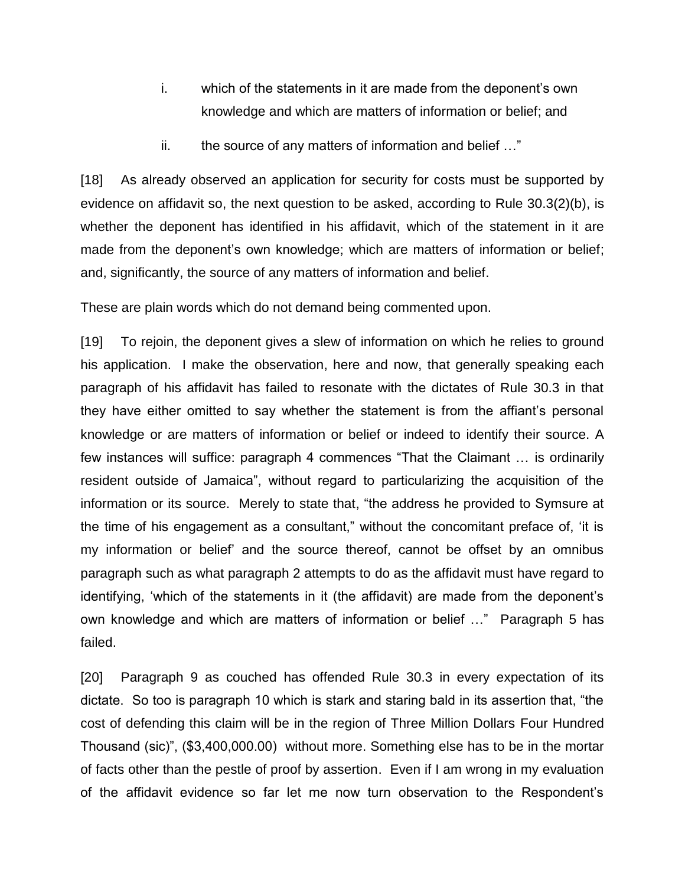- i. which of the statements in it are made from the deponent's own knowledge and which are matters of information or belief; and
- ii. the source of any matters of information and belief …"

[18] As already observed an application for security for costs must be supported by evidence on affidavit so, the next question to be asked, according to Rule 30.3(2)(b), is whether the deponent has identified in his affidavit, which of the statement in it are made from the deponent's own knowledge; which are matters of information or belief; and, significantly, the source of any matters of information and belief.

These are plain words which do not demand being commented upon.

[19] To rejoin, the deponent gives a slew of information on which he relies to ground his application. I make the observation, here and now, that generally speaking each paragraph of his affidavit has failed to resonate with the dictates of Rule 30.3 in that they have either omitted to say whether the statement is from the affiant's personal knowledge or are matters of information or belief or indeed to identify their source. A few instances will suffice: paragraph 4 commences "That the Claimant … is ordinarily resident outside of Jamaica", without regard to particularizing the acquisition of the information or its source. Merely to state that, "the address he provided to Symsure at the time of his engagement as a consultant," without the concomitant preface of, 'it is my information or belief' and the source thereof, cannot be offset by an omnibus paragraph such as what paragraph 2 attempts to do as the affidavit must have regard to identifying, 'which of the statements in it (the affidavit) are made from the deponent's own knowledge and which are matters of information or belief …" Paragraph 5 has failed.

[20] Paragraph 9 as couched has offended Rule 30.3 in every expectation of its dictate. So too is paragraph 10 which is stark and staring bald in its assertion that, "the cost of defending this claim will be in the region of Three Million Dollars Four Hundred Thousand (sic)", (\$3,400,000.00) without more. Something else has to be in the mortar of facts other than the pestle of proof by assertion. Even if I am wrong in my evaluation of the affidavit evidence so far let me now turn observation to the Respondent's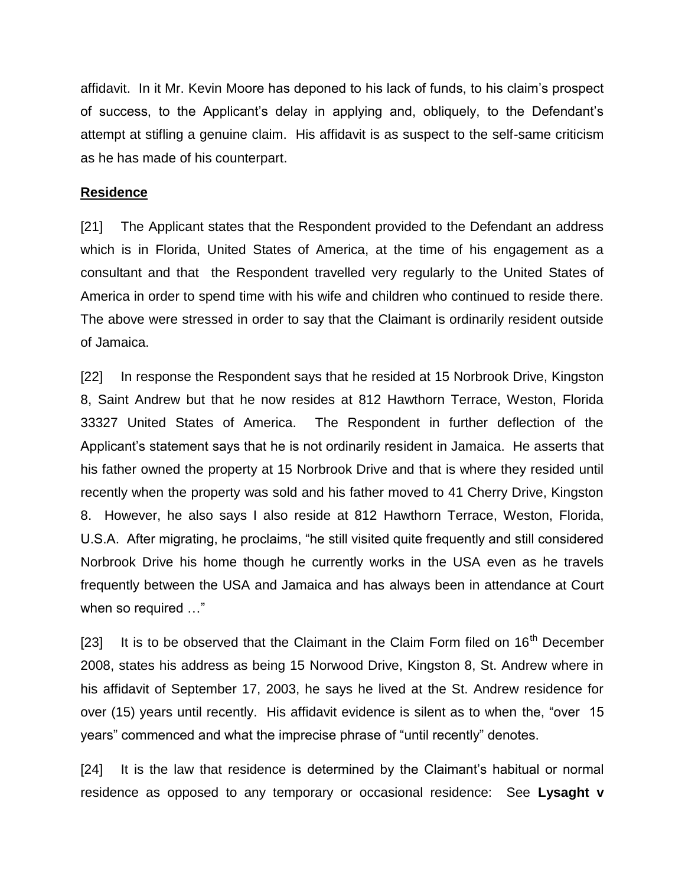affidavit. In it Mr. Kevin Moore has deponed to his lack of funds, to his claim's prospect of success, to the Applicant's delay in applying and, obliquely, to the Defendant's attempt at stifling a genuine claim. His affidavit is as suspect to the self-same criticism as he has made of his counterpart.

### **Residence**

[21] The Applicant states that the Respondent provided to the Defendant an address which is in Florida, United States of America, at the time of his engagement as a consultant and that the Respondent travelled very regularly to the United States of America in order to spend time with his wife and children who continued to reside there. The above were stressed in order to say that the Claimant is ordinarily resident outside of Jamaica.

[22] In response the Respondent says that he resided at 15 Norbrook Drive, Kingston 8, Saint Andrew but that he now resides at 812 Hawthorn Terrace, Weston, Florida 33327 United States of America. The Respondent in further deflection of the Applicant's statement says that he is not ordinarily resident in Jamaica. He asserts that his father owned the property at 15 Norbrook Drive and that is where they resided until recently when the property was sold and his father moved to 41 Cherry Drive, Kingston 8. However, he also says I also reside at 812 Hawthorn Terrace, Weston, Florida, U.S.A. After migrating, he proclaims, "he still visited quite frequently and still considered Norbrook Drive his home though he currently works in the USA even as he travels frequently between the USA and Jamaica and has always been in attendance at Court when so required …"

[23] It is to be observed that the Claimant in the Claim Form filed on  $16<sup>th</sup>$  December 2008, states his address as being 15 Norwood Drive, Kingston 8, St. Andrew where in his affidavit of September 17, 2003, he says he lived at the St. Andrew residence for over (15) years until recently. His affidavit evidence is silent as to when the, "over 15 years" commenced and what the imprecise phrase of "until recently" denotes.

[24] It is the law that residence is determined by the Claimant's habitual or normal residence as opposed to any temporary or occasional residence: See **Lysaght v**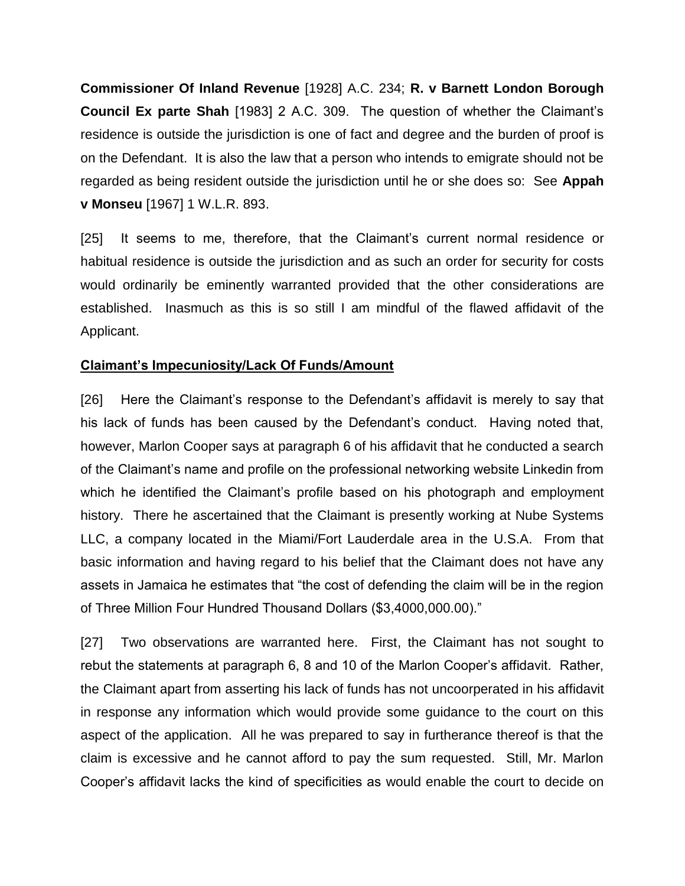**Commissioner Of Inland Revenue** [1928] A.C. 234; **R. v Barnett London Borough Council Ex parte Shah** [1983] 2 A.C. 309. The question of whether the Claimant's residence is outside the jurisdiction is one of fact and degree and the burden of proof is on the Defendant. It is also the law that a person who intends to emigrate should not be regarded as being resident outside the jurisdiction until he or she does so: See **Appah v Monseu** [1967] 1 W.L.R. 893.

[25] It seems to me, therefore, that the Claimant's current normal residence or habitual residence is outside the jurisdiction and as such an order for security for costs would ordinarily be eminently warranted provided that the other considerations are established. Inasmuch as this is so still I am mindful of the flawed affidavit of the Applicant.

# **Claimant's Impecuniosity/Lack Of Funds/Amount**

[26] Here the Claimant's response to the Defendant's affidavit is merely to say that his lack of funds has been caused by the Defendant's conduct. Having noted that, however, Marlon Cooper says at paragraph 6 of his affidavit that he conducted a search of the Claimant's name and profile on the professional networking website Linkedin from which he identified the Claimant's profile based on his photograph and employment history. There he ascertained that the Claimant is presently working at Nube Systems LLC, a company located in the Miami/Fort Lauderdale area in the U.S.A. From that basic information and having regard to his belief that the Claimant does not have any assets in Jamaica he estimates that "the cost of defending the claim will be in the region of Three Million Four Hundred Thousand Dollars (\$3,4000,000.00)."

[27] Two observations are warranted here. First, the Claimant has not sought to rebut the statements at paragraph 6, 8 and 10 of the Marlon Cooper's affidavit. Rather, the Claimant apart from asserting his lack of funds has not uncoorperated in his affidavit in response any information which would provide some guidance to the court on this aspect of the application. All he was prepared to say in furtherance thereof is that the claim is excessive and he cannot afford to pay the sum requested. Still, Mr. Marlon Cooper's affidavit lacks the kind of specificities as would enable the court to decide on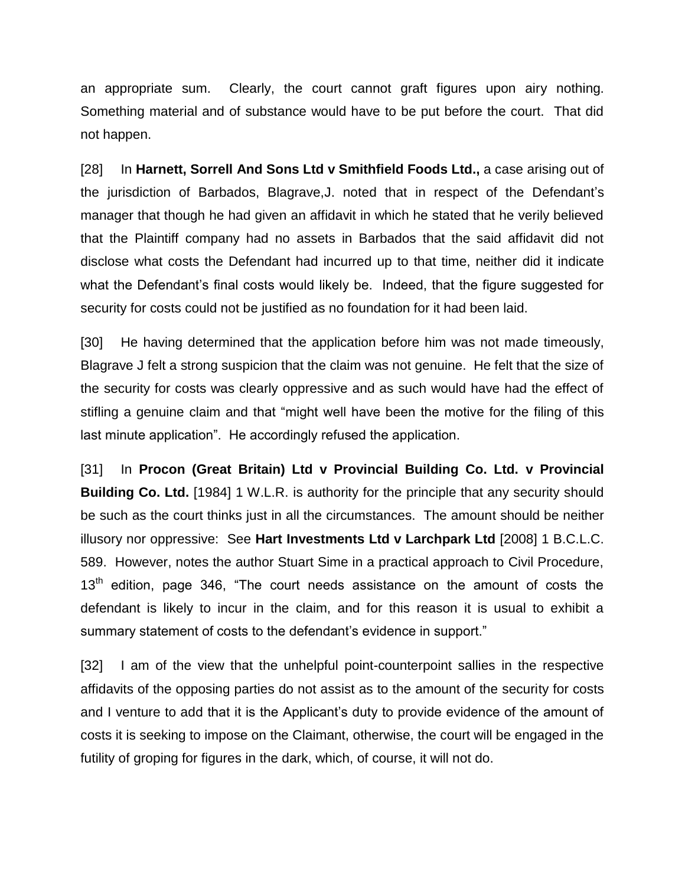an appropriate sum. Clearly, the court cannot graft figures upon airy nothing. Something material and of substance would have to be put before the court. That did not happen.

[28] In **Harnett, Sorrell And Sons Ltd v Smithfield Foods Ltd.,** a case arising out of the jurisdiction of Barbados, Blagrave,J. noted that in respect of the Defendant's manager that though he had given an affidavit in which he stated that he verily believed that the Plaintiff company had no assets in Barbados that the said affidavit did not disclose what costs the Defendant had incurred up to that time, neither did it indicate what the Defendant's final costs would likely be. Indeed, that the figure suggested for security for costs could not be justified as no foundation for it had been laid.

[30] He having determined that the application before him was not made timeously, Blagrave J felt a strong suspicion that the claim was not genuine. He felt that the size of the security for costs was clearly oppressive and as such would have had the effect of stifling a genuine claim and that "might well have been the motive for the filing of this last minute application". He accordingly refused the application.

[31] In **Procon (Great Britain) Ltd v Provincial Building Co. Ltd. v Provincial Building Co. Ltd.** [1984] 1 W.L.R. is authority for the principle that any security should be such as the court thinks just in all the circumstances. The amount should be neither illusory nor oppressive: See **Hart Investments Ltd v Larchpark Ltd** [2008] 1 B.C.L.C. 589. However, notes the author Stuart Sime in a practical approach to Civil Procedure, 13<sup>th</sup> edition, page 346, "The court needs assistance on the amount of costs the defendant is likely to incur in the claim, and for this reason it is usual to exhibit a summary statement of costs to the defendant's evidence in support."

[32] I am of the view that the unhelpful point-counterpoint sallies in the respective affidavits of the opposing parties do not assist as to the amount of the security for costs and I venture to add that it is the Applicant's duty to provide evidence of the amount of costs it is seeking to impose on the Claimant, otherwise, the court will be engaged in the futility of groping for figures in the dark, which, of course, it will not do.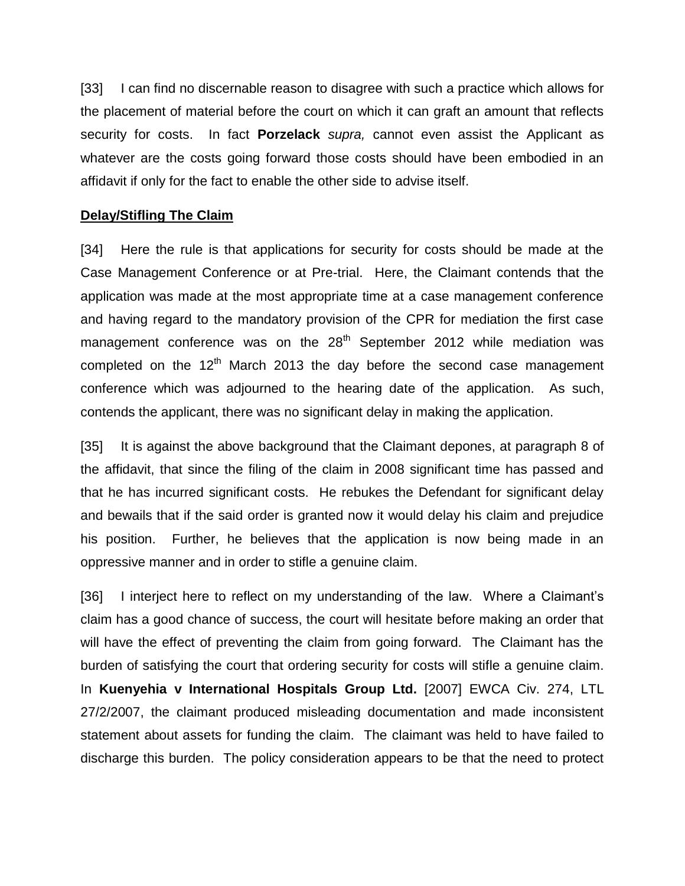[33] I can find no discernable reason to disagree with such a practice which allows for the placement of material before the court on which it can graft an amount that reflects security for costs. In fact **Porzelack** *supra,* cannot even assist the Applicant as whatever are the costs going forward those costs should have been embodied in an affidavit if only for the fact to enable the other side to advise itself.

# **Delay/Stifling The Claim**

[34] Here the rule is that applications for security for costs should be made at the Case Management Conference or at Pre-trial. Here, the Claimant contends that the application was made at the most appropriate time at a case management conference and having regard to the mandatory provision of the CPR for mediation the first case management conference was on the  $28<sup>th</sup>$  September 2012 while mediation was completed on the  $12<sup>th</sup>$  March 2013 the day before the second case management conference which was adjourned to the hearing date of the application. As such, contends the applicant, there was no significant delay in making the application.

[35] It is against the above background that the Claimant depones, at paragraph 8 of the affidavit, that since the filing of the claim in 2008 significant time has passed and that he has incurred significant costs. He rebukes the Defendant for significant delay and bewails that if the said order is granted now it would delay his claim and prejudice his position. Further, he believes that the application is now being made in an oppressive manner and in order to stifle a genuine claim.

[36] I interject here to reflect on my understanding of the law. Where a Claimant's claim has a good chance of success, the court will hesitate before making an order that will have the effect of preventing the claim from going forward. The Claimant has the burden of satisfying the court that ordering security for costs will stifle a genuine claim. In **Kuenyehia v International Hospitals Group Ltd.** [2007] EWCA Civ. 274, LTL 27/2/2007, the claimant produced misleading documentation and made inconsistent statement about assets for funding the claim. The claimant was held to have failed to discharge this burden. The policy consideration appears to be that the need to protect